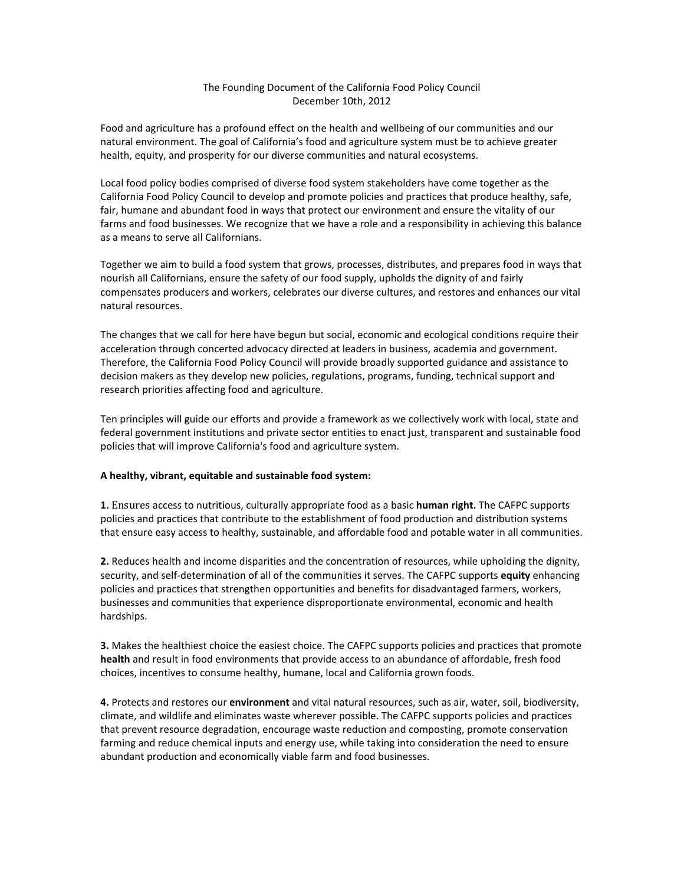## The Founding Document of the California Food Policy Council December 10th, 2012

Food and agriculture has a profound effect on the health and wellbeing of our communities and our natural environment. The goal of California's food and agriculture system must be to achieve greater health, equity, and prosperity for our diverse communities and natural ecosystems.

Local food policy bodies comprised of diverse food system stakeholders have come together as the California Food Policy Council to develop and promote policies and practices that produce healthy, safe, fair, humane and abundant food in ways that protect our environment and ensure the vitality of our farms and food businesses. We recognize that we have a role and a responsibility in achieving this balance as a means to serve all Californians.

Together we aim to build a food system that grows, processes, distributes, and prepares food in ways that nourish all Californians, ensure the safety of our food supply, upholds the dignity of and fairly compensates producers and workers, celebrates our diverse cultures, and restores and enhances our vital natural resources.

The changes that we call for here have begun but social, economic and ecological conditions require their acceleration through concerted advocacy directed at leaders in business, academia and government. Therefore, the California Food Policy Council will provide broadly supported guidance and assistance to decision makers as they develop new policies, regulations, programs, funding, technical support and research priorities affecting food and agriculture.

Ten principles will guide our efforts and provide a framework as we collectively work with local, state and federal government institutions and private sector entities to enact just, transparent and sustainable food policies that will improve California's food and agriculture system.

## A healthy, vibrant, equitable and sustainable food system:

**1.** Ensures access to nutritious, culturally appropriate food as a basic **human right.** The CAFPC supports policies and practices that contribute to the establishment of food production and distribution systems that ensure easy access to healthy, sustainable, and affordable food and potable water in all communities.

**2.** Reduces health and income disparities and the concentration of resources, while upholding the dignity, security, and self-determination of all of the communities it serves. The CAFPC supports **equity** enhancing policies and practices that strengthen opportunities and benefits for disadvantaged farmers, workers, businesses and communities that experience disproportionate environmental, economic and health hardships.

**3.** Makes the healthiest choice the easiest choice. The CAFPC supports policies and practices that promote **health** and result in food environments that provide access to an abundance of affordable, fresh food choices, incentives to consume healthy, humane, local and California grown foods.

4. Protects and restores our *environment* and vital natural resources, such as air, water, soil, biodiversity, climate, and wildlife and eliminates waste wherever possible. The CAFPC supports policies and practices that prevent resource degradation, encourage waste reduction and composting, promote conservation farming and reduce chemical inputs and energy use, while taking into consideration the need to ensure abundant production and economically viable farm and food businesses.